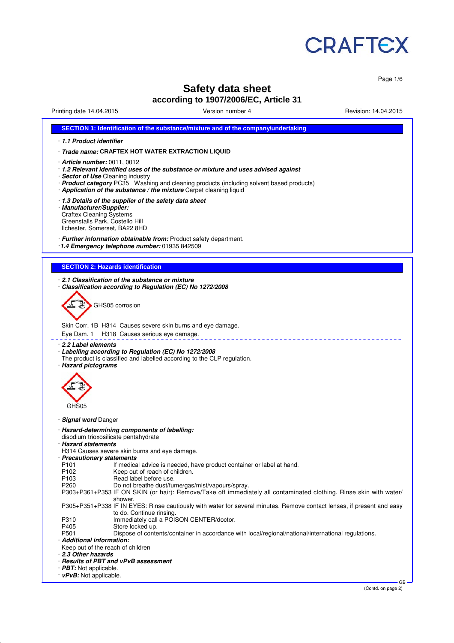

Page 1/6

# **Safety data sheet according to 1907/2006/EC, Article 31**

Printing date 14.04.2015 Version number 4 Revision: 14.04.2015

|                                                                                                                                 | SECTION 1: Identification of the substance/mixture and of the company/undertaking                                                                                                                                                                                                                                                     |  |  |  |  |
|---------------------------------------------------------------------------------------------------------------------------------|---------------------------------------------------------------------------------------------------------------------------------------------------------------------------------------------------------------------------------------------------------------------------------------------------------------------------------------|--|--|--|--|
| 1.1 Product identifier                                                                                                          |                                                                                                                                                                                                                                                                                                                                       |  |  |  |  |
|                                                                                                                                 | Trade name: CRAFTEX HOT WATER EXTRACTION LIQUID                                                                                                                                                                                                                                                                                       |  |  |  |  |
|                                                                                                                                 |                                                                                                                                                                                                                                                                                                                                       |  |  |  |  |
|                                                                                                                                 | · <b>Article number:</b> 0011, 0012<br>· 1.2 Relevant identified uses of the substance or mixture and uses advised against<br><b>Sector of Use</b> Cleaning industry<br>· Product category PC35 Washing and cleaning products (including solvent based products)<br>Application of the substance / the mixture Carpet cleaning liquid |  |  |  |  |
| · Manufacturer/Supplier:<br><b>Craftex Cleaning Systems</b><br>Greenstalls Park, Costello Hill<br>Ilchester, Somerset, BA22 8HD | . 1.3 Details of the supplier of the safety data sheet                                                                                                                                                                                                                                                                                |  |  |  |  |
|                                                                                                                                 | · Further information obtainable from: Product safety department.<br>1.4 Emergency telephone number: 01935 842509                                                                                                                                                                                                                     |  |  |  |  |
|                                                                                                                                 | <b>SECTION 2: Hazards identification</b>                                                                                                                                                                                                                                                                                              |  |  |  |  |
|                                                                                                                                 |                                                                                                                                                                                                                                                                                                                                       |  |  |  |  |
|                                                                                                                                 | 2.1 Classification of the substance or mixture<br>Classification according to Regulation (EC) No 1272/2008                                                                                                                                                                                                                            |  |  |  |  |
|                                                                                                                                 | GHS05 corrosion                                                                                                                                                                                                                                                                                                                       |  |  |  |  |
| Eye Dam. 1                                                                                                                      | Skin Corr. 1B H314 Causes severe skin burns and eye damage.<br>H318 Causes serious eye damage.                                                                                                                                                                                                                                        |  |  |  |  |
|                                                                                                                                 | 2.2 Label elements<br>Labelling according to Regulation (EC) No 1272/2008<br>The product is classified and labelled according to the CLP regulation.                                                                                                                                                                                  |  |  |  |  |
| · Hazard pictograms<br>GHS05                                                                                                    |                                                                                                                                                                                                                                                                                                                                       |  |  |  |  |
| · Signal word Danger                                                                                                            |                                                                                                                                                                                                                                                                                                                                       |  |  |  |  |
| <b>Hazard statements</b>                                                                                                        | · Hazard-determining components of labelling:<br>disodium trioxosilicate pentahydrate                                                                                                                                                                                                                                                 |  |  |  |  |
| · Precautionary statements                                                                                                      | H314 Causes severe skin burns and eye damage.                                                                                                                                                                                                                                                                                         |  |  |  |  |
| P <sub>101</sub>                                                                                                                | If medical advice is needed, have product container or label at hand.                                                                                                                                                                                                                                                                 |  |  |  |  |
| P <sub>102</sub>                                                                                                                | Keep out of reach of children.                                                                                                                                                                                                                                                                                                        |  |  |  |  |
| P <sub>103</sub><br>P <sub>260</sub>                                                                                            | Read label before use.<br>Do not breathe dust/fume/gas/mist/vapours/spray.                                                                                                                                                                                                                                                            |  |  |  |  |
|                                                                                                                                 | P303+P361+P353 IF ON SKIN (or hair): Remove/Take off immediately all contaminated clothing. Rinse skin with water/<br>shower.                                                                                                                                                                                                         |  |  |  |  |
|                                                                                                                                 | P305+P351+P338 IF IN EYES: Rinse cautiously with water for several minutes. Remove contact lenses, if present and easy<br>to do. Continue rinsing.                                                                                                                                                                                    |  |  |  |  |
| P310                                                                                                                            | Immediately call a POISON CENTER/doctor.                                                                                                                                                                                                                                                                                              |  |  |  |  |
| P405                                                                                                                            | Store locked up.                                                                                                                                                                                                                                                                                                                      |  |  |  |  |
| P501<br>· Additional information:                                                                                               | Dispose of contents/container in accordance with local/regional/national/international regulations.                                                                                                                                                                                                                                   |  |  |  |  |
|                                                                                                                                 | Keep out of the reach of children                                                                                                                                                                                                                                                                                                     |  |  |  |  |
|                                                                                                                                 | 2.3 Other hazards<br>· Results of PBT and vPvB assessment                                                                                                                                                                                                                                                                             |  |  |  |  |
| $\cdot$ PBT: Not applicable.                                                                                                    |                                                                                                                                                                                                                                                                                                                                       |  |  |  |  |
|                                                                                                                                 | · vPvB: Not applicable.                                                                                                                                                                                                                                                                                                               |  |  |  |  |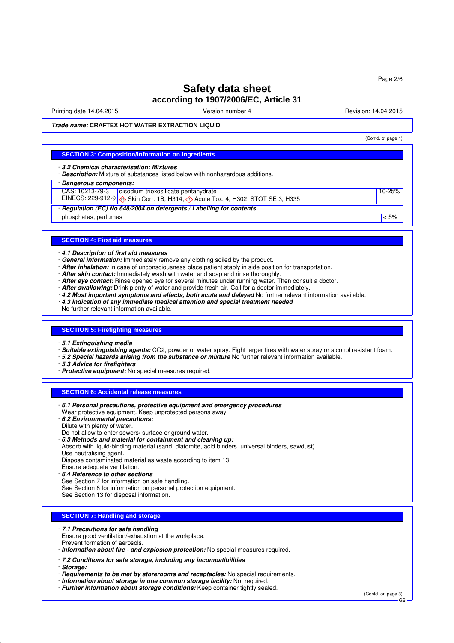Printing date 14.04.2015 The Version number 4 Revision: 14.04.2015

(Contd. of page 1)

10-25%

**Trade name: CRAFTEX HOT WATER EXTRACTION LIQUID**

#### **SECTION 3: Composition/information on ingredients**

· **3.2 Chemical characterisation: Mixtures**

- · **Description:** Mixture of substances listed below with nonhazardous additions.
- · **Dangerous components:**
	- CAS: 10213-79-3 disodium trioxosilicate pentahydrate
- EINECS: 229-912-9 Skin Corr. 1B, H314; O Acute Tox. 4, H302; STOT SE 3, H335
- · **Regulation (EC) No 648/2004 on detergents / Labelling for contents**

phosphates, perfumes  $\sim$  5%

#### **SECTION 4: First aid measures**

· **4.1 Description of first aid measures**

- · **General information:** Immediately remove any clothing soiled by the product.
- · **After inhalation:** In case of unconsciousness place patient stably in side position for transportation.
- · **After skin contact:** Immediately wash with water and soap and rinse thoroughly.
- · After eye contact: Rinse opened eye for several minutes under running water. Then consult a doctor.
- · **After swallowing:** Drink plenty of water and provide fresh air. Call for a doctor immediately.
- · **4.2 Most important symptoms and effects, both acute and delayed** No further relevant information available.
- · **4.3 Indication of any immediate medical attention and special treatment needed**
- No further relevant information available.

#### **SECTION 5: Firefighting measures**

- · **5.1 Extinguishing media**
- · **Suitable extinguishing agents:** CO2, powder or water spray. Fight larger fires with water spray or alcohol resistant foam.
- · **5.2 Special hazards arising from the substance or mixture** No further relevant information available.
- · **5.3 Advice for firefighters**
- · **Protective equipment:** No special measures required.

#### **SECTION 6: Accidental release measures**

- · **6.1 Personal precautions, protective equipment and emergency procedures** Wear protective equipment. Keep unprotected persons away. · **6.2 Environmental precautions:** Dilute with plenty of water. Do not allow to enter sewers/ surface or ground water. · **6.3 Methods and material for containment and cleaning up:** Absorb with liquid-binding material (sand, diatomite, acid binders, universal binders, sawdust). Use neutralising agent. Dispose contaminated material as waste according to item 13. Ensure adequate ventilation.
- · **6.4 Reference to other sections**
- See Section 7 for information on safe handling.
- See Section 8 for information on personal protection equipment.
- See Section 13 for disposal information.

#### **SECTION 7: Handling and storage**

- · **7.1 Precautions for safe handling**
- Ensure good ventilation/exhaustion at the workplace. Prevent formation of aerosols.
- · **Information about fire and explosion protection:** No special measures required.
- · **7.2 Conditions for safe storage, including any incompatibilities**
- · **Storage:**
- · **Requirements to be met by storerooms and receptacles:** No special requirements.
- · **Information about storage in one common storage facility:** Not required.
- · **Further information about storage conditions:** Keep container tightly sealed.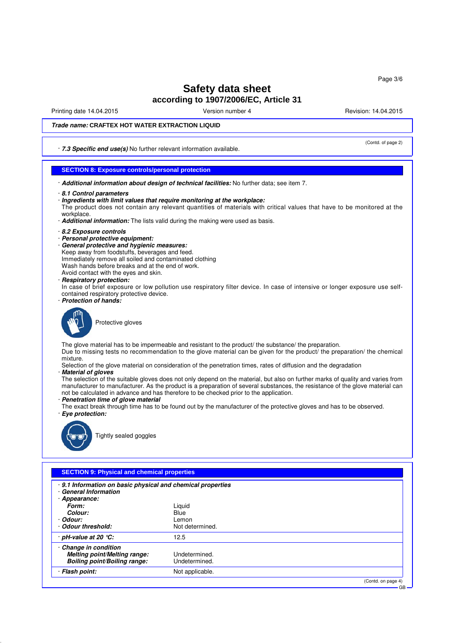Printing date 14.04.2015 The Version number 4 Revision: 14.04.2015

(Contd. of page 2)

## **Trade name: CRAFTEX HOT WATER EXTRACTION LIQUID**

· **7.3 Specific end use(s)** No further relevant information available.

## **SECTION 8: Exposure controls/personal protection**

- · **Additional information about design of technical facilities:** No further data; see item 7.
- · **8.1 Control parameters**
- · **Ingredients with limit values that require monitoring at the workplace:**
- The product does not contain any relevant quantities of materials with critical values that have to be monitored at the workplace.
- · **Additional information:** The lists valid during the making were used as basis.
- · **8.2 Exposure controls**
- · **Personal protective equipment:**
- · **General protective and hygienic measures:**
- Keep away from foodstuffs, beverages and feed.
- Immediately remove all soiled and contaminated clothing
- Wash hands before breaks and at the end of work.
- Avoid contact with the eyes and skin.
- · **Respiratory protection:**
- In case of brief exposure or low pollution use respiratory filter device. In case of intensive or longer exposure use selfcontained respiratory protective device.
- · **Protection of hands:**



Protective gloves

The glove material has to be impermeable and resistant to the product/ the substance/ the preparation.

Due to missing tests no recommendation to the glove material can be given for the product/ the preparation/ the chemical mixture.

Selection of the glove material on consideration of the penetration times, rates of diffusion and the degradation

#### · **Material of gloves**

- The selection of the suitable gloves does not only depend on the material, but also on further marks of quality and varies from manufacturer to manufacturer. As the product is a preparation of several substances, the resistance of the glove material can not be calculated in advance and has therefore to be checked prior to the application.
- · **Penetration time of glove material**
- The exact break through time has to be found out by the manufacturer of the protective gloves and has to be observed. · **Eye protection:**



Tightly sealed goggles

## **SECTION 9: Physical and chemical properties**

| · 9.1 Information on basic physical and chemical properties<br><b>General Information</b><br>Appearance: |                                |
|----------------------------------------------------------------------------------------------------------|--------------------------------|
| Form:                                                                                                    | Liquid                         |
| Colour:                                                                                                  | Blue                           |
| · Odour:                                                                                                 | Lemon                          |
| Odour threshold:                                                                                         | Not determined.                |
| pH-value at 20 $°C$ :                                                                                    | 12.5                           |
| Change in condition<br>Melting point/Melting range:<br><b>Boiling point/Boiling range:</b>               | Undetermined.<br>Undetermined. |
| · Flash point:                                                                                           | Not applicable.                |
|                                                                                                          | (Contd. on page 4)             |

GB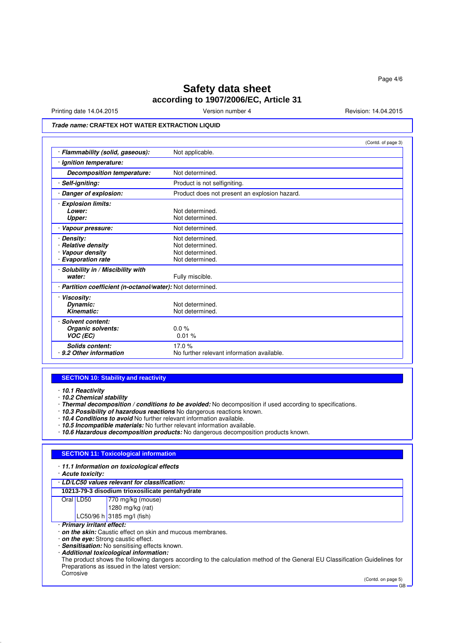Printing date 14.04.2015 **Version number 4** Newsley Revision: 14.04.2015

# **Trade name: CRAFTEX HOT WATER EXTRACTION LIQUID**

|                                                                             | (Contd. of page 3)                                                       |
|-----------------------------------------------------------------------------|--------------------------------------------------------------------------|
| · Flammability (solid, gaseous):                                            | Not applicable.                                                          |
| Ignition temperature:                                                       |                                                                          |
| Decomposition temperature:                                                  | Not determined.                                                          |
| Self-igniting:                                                              | Product is not selfigniting.                                             |
| Danger of explosion:                                                        | Product does not present an explosion hazard.                            |
| <b>Explosion limits:</b><br>Lower:<br>Upper:                                | Not determined.<br>Not determined.                                       |
| Vapour pressure:                                                            | Not determined.                                                          |
| Density:<br>· Relative density<br>Vapour density<br><b>Evaporation rate</b> | Not determined.<br>Not determined.<br>Not determined.<br>Not determined. |
| Solubility in / Miscibility with<br>water:                                  | Fully miscible.                                                          |
| · Partition coefficient (n-octanol/water): Not determined.                  |                                                                          |
| <b>Viscosity:</b><br>Dynamic:<br>Kinematic:                                 | Not determined.<br>Not determined.                                       |
| Solvent content:<br>Organic solvents:<br>VOC (EC)                           | $0.0\%$<br>0.01%                                                         |
| Solids content:<br>9.2 Other information                                    | 17.0%<br>No further relevant information available.                      |

#### **SECTION 10: Stability and reactivity**

· **10.1 Reactivity**

· **10.2 Chemical stability**

· **Thermal decomposition / conditions to be avoided:** No decomposition if used according to specifications.

- · **10.3 Possibility of hazardous reactions** No dangerous reactions known.
- · **10.4 Conditions to avoid** No further relevant information available.
- · **10.5 Incompatible materials:** No further relevant information available.
- · **10.6 Hazardous decomposition products:** No dangerous decomposition products known.

## **SECTION 11: Toxicological information**

· **11.1 Information on toxicological effects**

· **Acute toxicity:**

#### · **LD/LC50 values relevant for classification:**

**10213-79-3 disodium trioxosilicate pentahydrate**

- Oral LD50 770 mg/kg (mouse)
	- 1280 mg/kg (rat)  $LC50/96 h | 3185 mg/l (fish)$
	-
- · **Primary irritant effect:**
- · **on the skin:** Caustic effect on skin and mucous membranes.
- · **on the eye:** Strong caustic effect.
- · **Sensitisation:** No sensitising effects known.
- · **Additional toxicological information:**

The product shows the following dangers according to the calculation method of the General EU Classification Guidelines for Preparations as issued in the latest version: **Corrosive** 

(Contd. on page 5)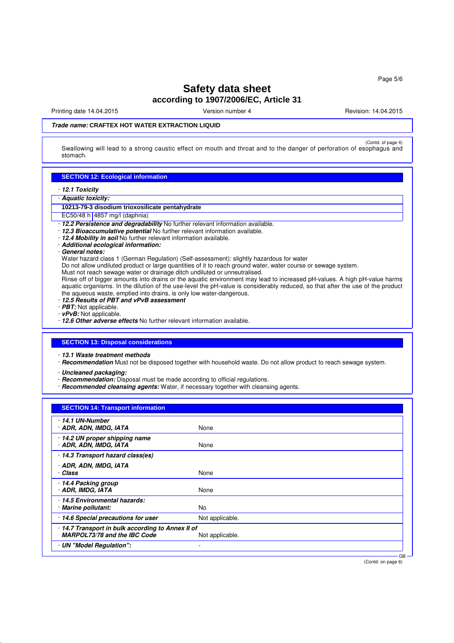Printing date 14.04.2015 The Version number 4 Revision: 14.04.2015

## **Trade name: CRAFTEX HOT WATER EXTRACTION LIQUID**

(Contd. of page 4) Contd.<br>Swallowing will lead to a strong caustic effect on mouth and throat and to the danger of perforation of esophagus and stomach.

## **SECTION 12: Ecological information**

- · **12.1 Toxicity**
- · **Aquatic toxicity:**
- **10213-79-3 disodium trioxosilicate pentahydrate**
- EC50/48 h 4857 mg/l (daphnia)
- · **12.2 Persistence and degradability** No further relevant information available.
- · **12.3 Bioaccumulative potential** No further relevant information available.
- · **12.4 Mobility in soil** No further relevant information available.
- · **Additional ecological information:**
- · **General notes:**

Water hazard class 1 (German Regulation) (Self-assessment): slightly hazardous for water

- Do not allow undiluted product or large quantities of it to reach ground water, water course or sewage system.
- Must not reach sewage water or drainage ditch undiluted or unneutralised.

Rinse off of bigger amounts into drains or the aquatic environment may lead to increased pH-values. A high pH-value harms aquatic organisms. In the dilution of the use-level the pH-value is considerably reduced, so that after the use of the product the aqueous waste, emptied into drains, is only low water-dangerous.

- · **12.5 Results of PBT and vPvB assessment**
- · **PBT:** Not applicable.
- · **vPvB:** Not applicable.
- · **12.6 Other adverse effects** No further relevant information available.

#### **SECTION 13: Disposal considerations**

· **13.1 Waste treatment methods**

· **Recommendation** Must not be disposed together with household waste. Do not allow product to reach sewage system.

· **Uncleaned packaging:**

- · **Recommendation:** Disposal must be made according to official regulations.
- · **Recommended cleansing agents:** Water, if necessary together with cleansing agents.

| <b>SECTION 14: Transport information</b>                                        |                 |        |
|---------------------------------------------------------------------------------|-----------------|--------|
| $\cdot$ 14.1 UN-Number<br>· ADR, ADN, IMDG, IATA                                | None            |        |
| 14.2 UN proper shipping name<br>· ADR, ADN, IMDG, IATA                          | None            |        |
| 14.3 Transport hazard class(es)                                                 |                 |        |
| · ADR, ADN, IMDG, IATA<br>· Class                                               | None            |        |
| · 14.4 Packing group<br>· ADR, IMDG, IATA                                       | None            |        |
| 14.5 Environmental hazards:<br>· Marine pollutant:                              | No.             |        |
| 14.6 Special precautions for user                                               | Not applicable. |        |
| 14.7 Transport in bulk according to Annex II of<br>MARPOL73/78 and the IBC Code | Not applicable. |        |
| · UN "Model Regulation":                                                        |                 |        |
|                                                                                 |                 | $GB -$ |

(Contd. on page 6)